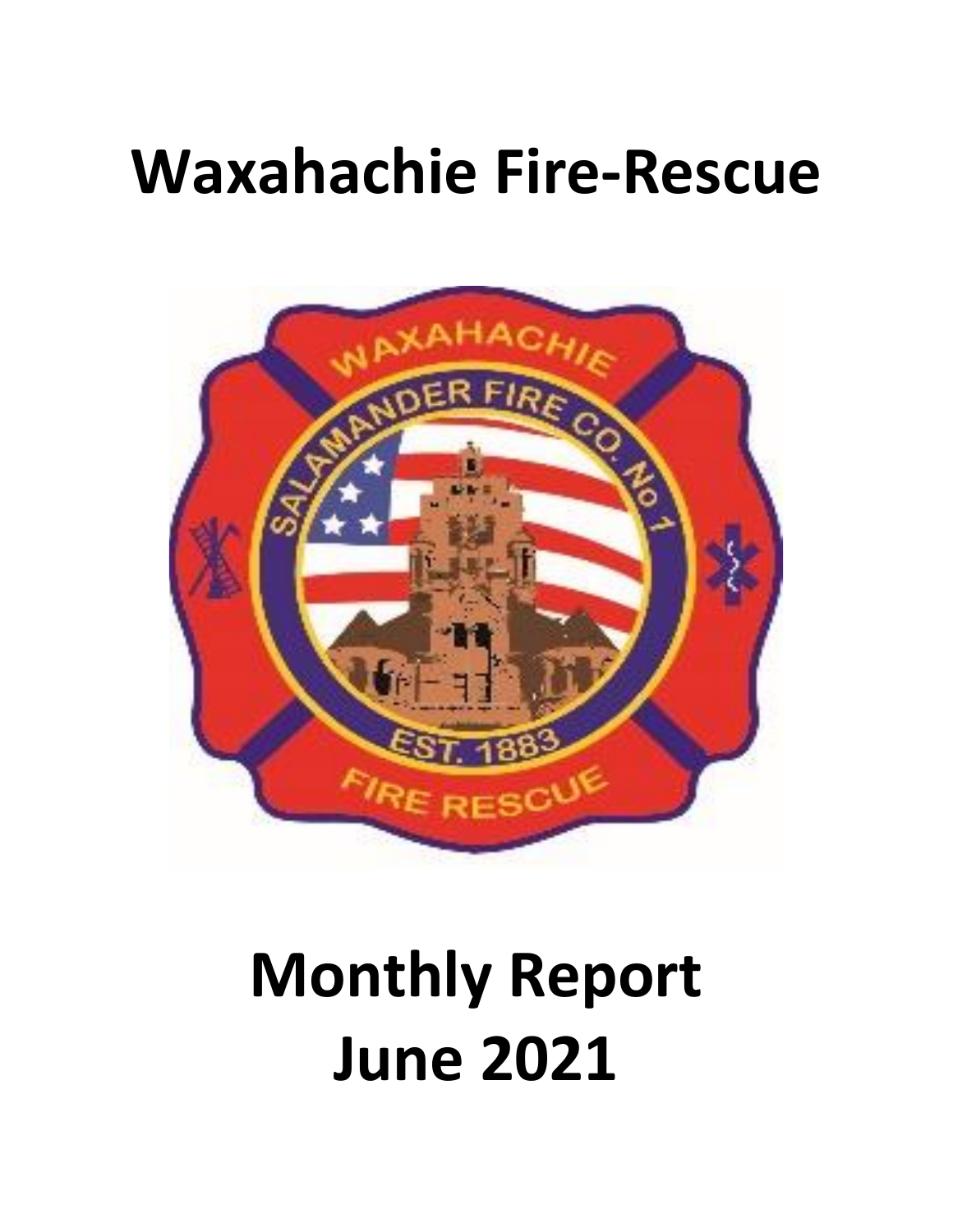## **Waxahachie Fire-Rescue**



# **Monthly Report June 2021**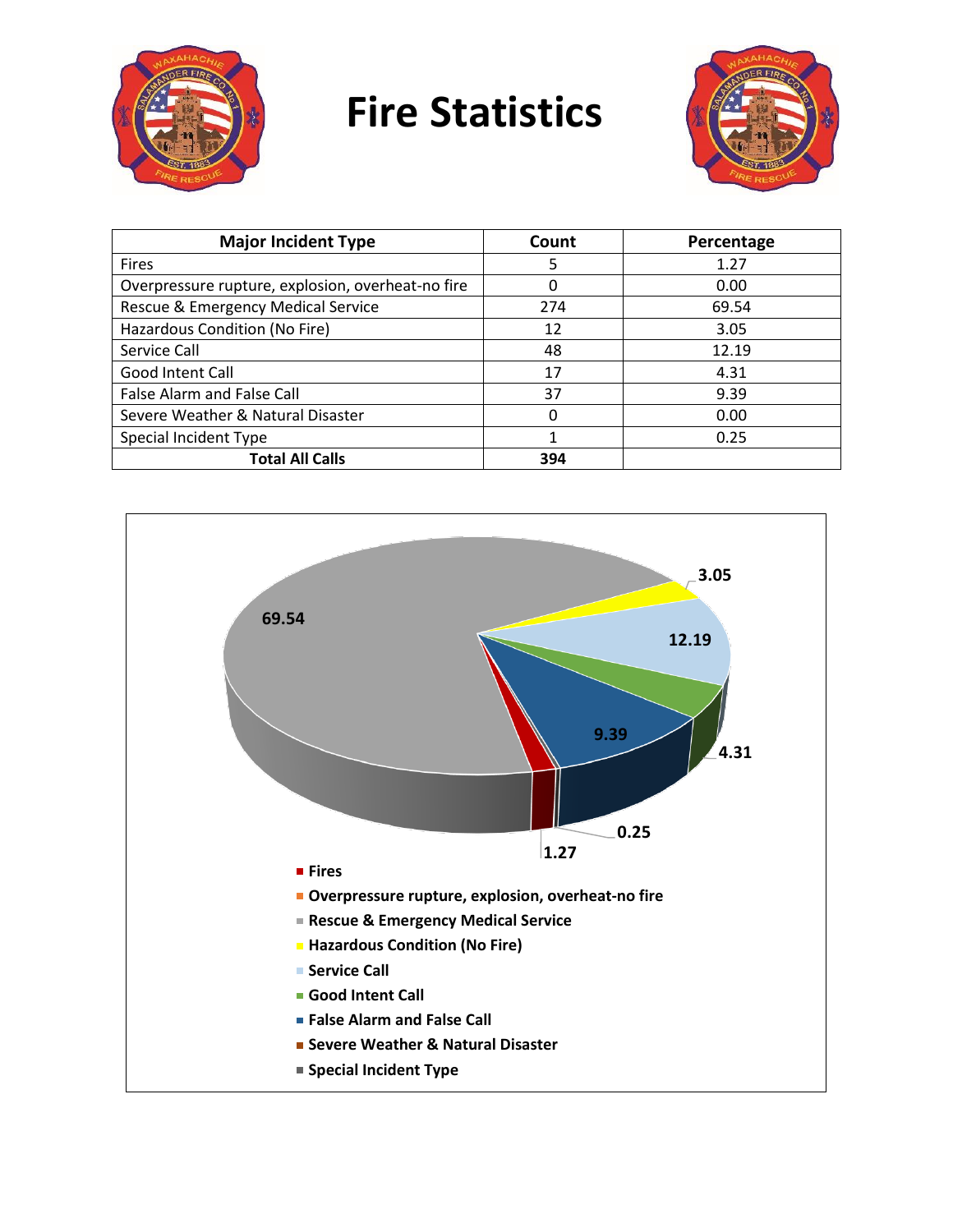

## **Fire Statistics**



| <b>Major Incident Type</b>                        | Count | Percentage |
|---------------------------------------------------|-------|------------|
| <b>Fires</b>                                      | 5     | 1.27       |
| Overpressure rupture, explosion, overheat-no fire | 0     | 0.00       |
| Rescue & Emergency Medical Service                | 274   | 69.54      |
| Hazardous Condition (No Fire)                     | 12    | 3.05       |
| Service Call                                      | 48    | 12.19      |
| Good Intent Call                                  | 17    | 4.31       |
| <b>False Alarm and False Call</b>                 | 37    | 9.39       |
| Severe Weather & Natural Disaster                 |       | 0.00       |
| Special Incident Type                             | 1     | 0.25       |
| <b>Total All Calls</b>                            | 394   |            |

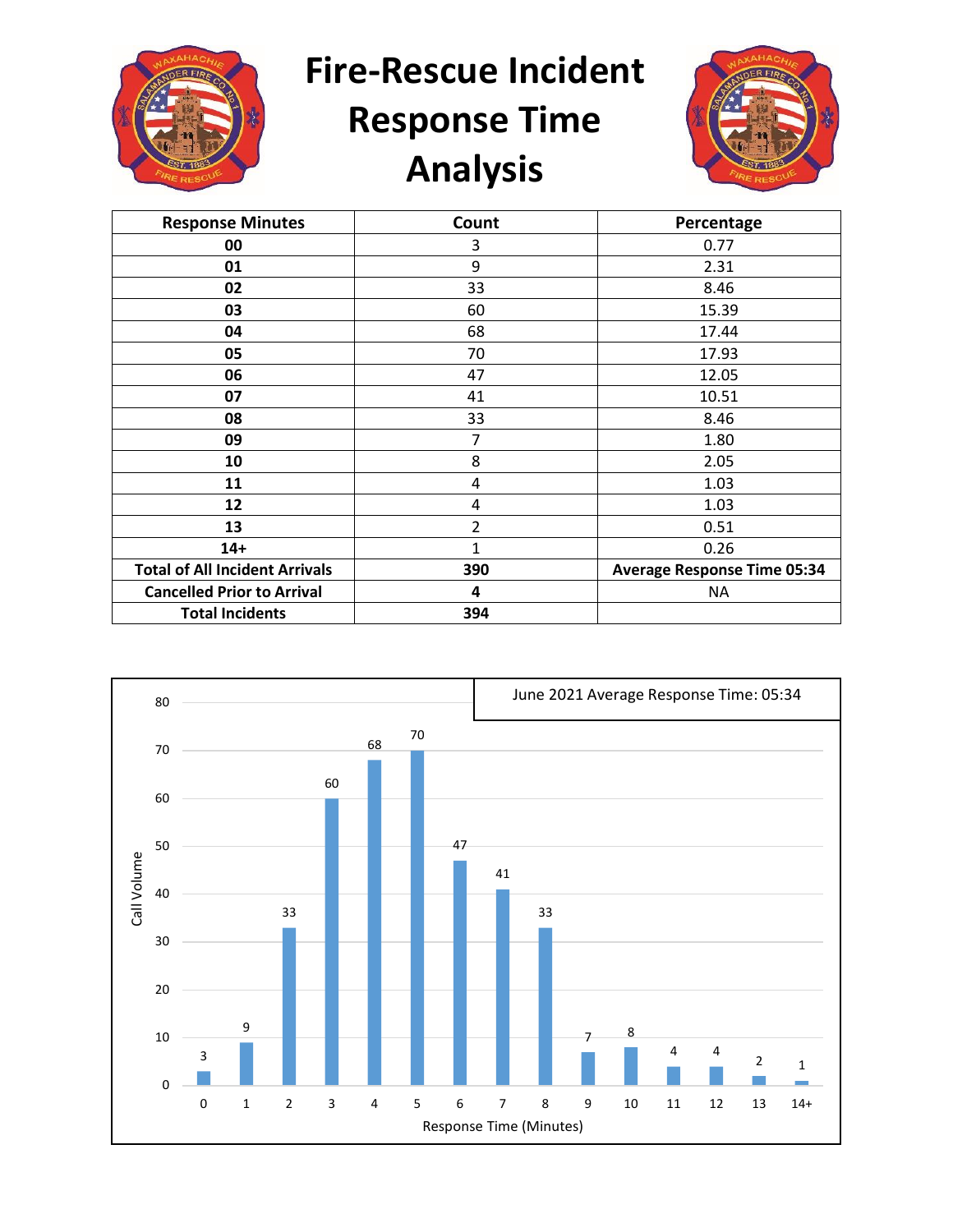

**Fire-Rescue Incident** 

## **Response Time Analysis**



| <b>Response Minutes</b>               | Count | Percentage                         |
|---------------------------------------|-------|------------------------------------|
| 00                                    | 3     | 0.77                               |
| 01                                    | 9     | 2.31                               |
| 02                                    | 33    | 8.46                               |
| 03                                    | 60    | 15.39                              |
| 04                                    | 68    | 17.44                              |
| 05                                    | 70    | 17.93                              |
| 06                                    | 47    | 12.05                              |
| 07                                    | 41    | 10.51                              |
| 08                                    | 33    | 8.46                               |
| 09                                    | 7     | 1.80                               |
| 10                                    | 8     | 2.05                               |
| 11                                    | 4     | 1.03                               |
| 12                                    | 4     | 1.03                               |
| 13                                    | 2     | 0.51                               |
| $14+$                                 | 1     | 0.26                               |
| <b>Total of All Incident Arrivals</b> | 390   | <b>Average Response Time 05:34</b> |
| <b>Cancelled Prior to Arrival</b>     | 4     | ΝA                                 |
| <b>Total Incidents</b>                | 394   |                                    |

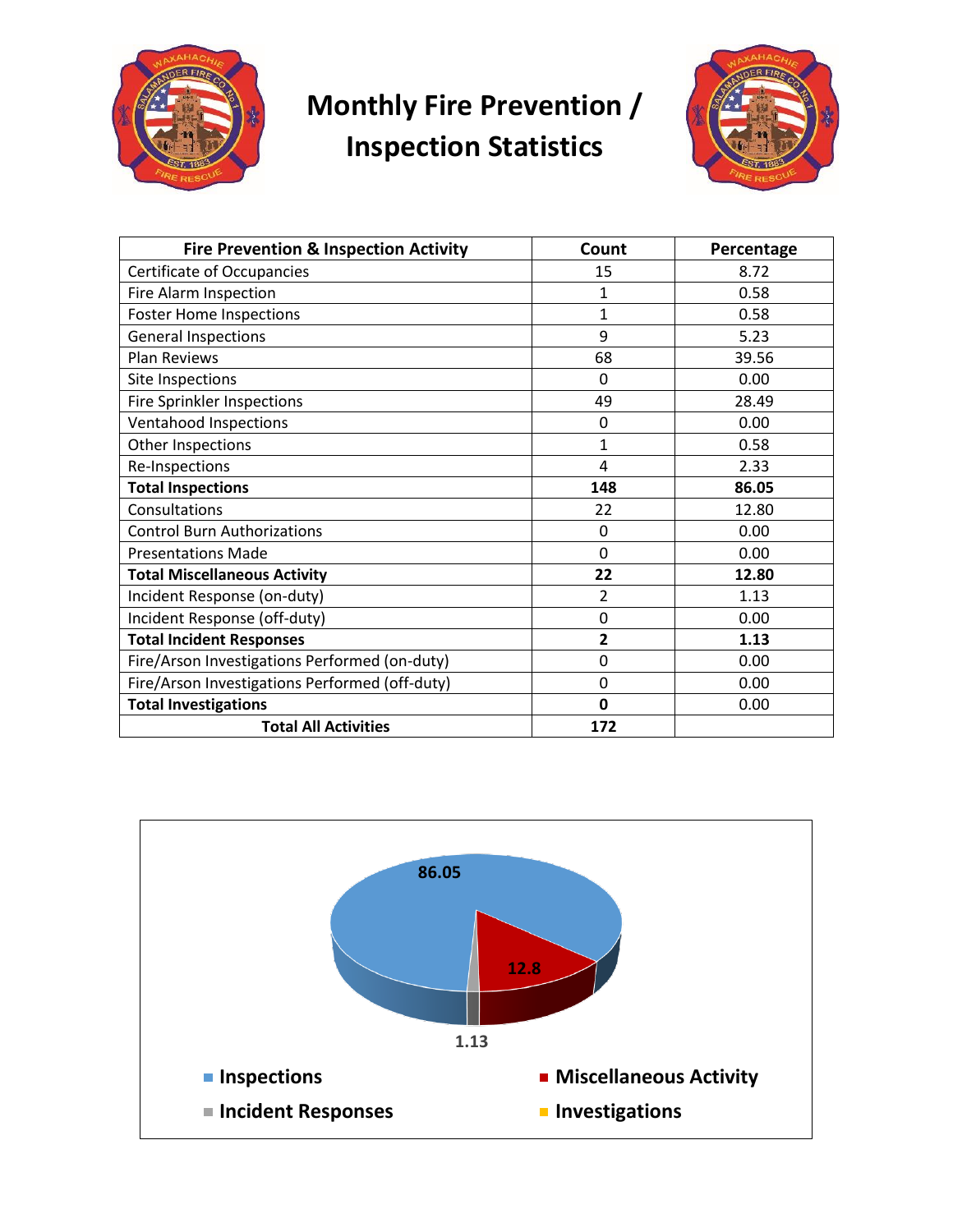

#### **Monthly Fire Prevention / Inspection Statistics**



| <b>Fire Prevention &amp; Inspection Activity</b> | Count                   | Percentage |
|--------------------------------------------------|-------------------------|------------|
| <b>Certificate of Occupancies</b>                | 15                      | 8.72       |
| Fire Alarm Inspection                            | $\mathbf{1}$            | 0.58       |
| <b>Foster Home Inspections</b>                   | 1                       | 0.58       |
| <b>General Inspections</b>                       | 9                       | 5.23       |
| <b>Plan Reviews</b>                              | 68                      | 39.56      |
| Site Inspections                                 | $\Omega$                | 0.00       |
| Fire Sprinkler Inspections                       | 49                      | 28.49      |
| Ventahood Inspections                            | 0                       | 0.00       |
| Other Inspections                                | $\mathbf{1}$            | 0.58       |
| Re-Inspections                                   | 4                       | 2.33       |
| <b>Total Inspections</b>                         | 148                     | 86.05      |
| Consultations                                    | 22                      | 12.80      |
| <b>Control Burn Authorizations</b>               | 0                       | 0.00       |
| <b>Presentations Made</b>                        | $\Omega$                | 0.00       |
| <b>Total Miscellaneous Activity</b>              | 22                      | 12.80      |
| Incident Response (on-duty)                      | 2                       | 1.13       |
| Incident Response (off-duty)                     | 0                       | 0.00       |
| <b>Total Incident Responses</b>                  | $\overline{\mathbf{2}}$ | 1.13       |
| Fire/Arson Investigations Performed (on-duty)    | 0                       | 0.00       |
| Fire/Arson Investigations Performed (off-duty)   | 0                       | 0.00       |
| <b>Total Investigations</b>                      | 0                       | 0.00       |
| <b>Total All Activities</b>                      | 172                     |            |